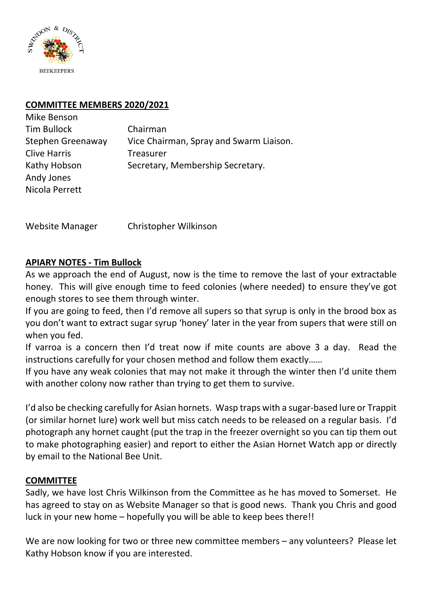

# **COMMITTEE MEMBERS 2020/2021**

| Mike Benson         |                                         |
|---------------------|-----------------------------------------|
| <b>Tim Bullock</b>  | Chairman                                |
| Stephen Greenaway   | Vice Chairman, Spray and Swarm Liaison. |
| <b>Clive Harris</b> | Treasurer                               |
| Kathy Hobson        | Secretary, Membership Secretary.        |
| Andy Jones          |                                         |
| Nicola Perrett      |                                         |

Website Manager Christopher Wilkinson

## **APIARY NOTES - Tim Bullock**

As we approach the end of August, now is the time to remove the last of your extractable honey. This will give enough time to feed colonies (where needed) to ensure they've got enough stores to see them through winter.

If you are going to feed, then I'd remove all supers so that syrup is only in the brood box as you don't want to extract sugar syrup 'honey' later in the year from supers that were still on when you fed.

If varroa is a concern then I'd treat now if mite counts are above 3 a day. Read the instructions carefully for your chosen method and follow them exactly……

If you have any weak colonies that may not make it through the winter then I'd unite them with another colony now rather than trying to get them to survive.

I'd also be checking carefully for Asian hornets. Wasp traps with a sugar-based lure or Trappit (or similar hornet lure) work well but miss catch needs to be released on a regular basis. I'd photograph any hornet caught (put the trap in the freezer overnight so you can tip them out to make photographing easier) and report to either the Asian Hornet Watch app or directly by email to the National Bee Unit.

## **COMMITTEE**

Sadly, we have lost Chris Wilkinson from the Committee as he has moved to Somerset. He has agreed to stay on as Website Manager so that is good news. Thank you Chris and good luck in your new home – hopefully you will be able to keep bees there!!

We are now looking for two or three new committee members – any volunteers? Please let Kathy Hobson know if you are interested.